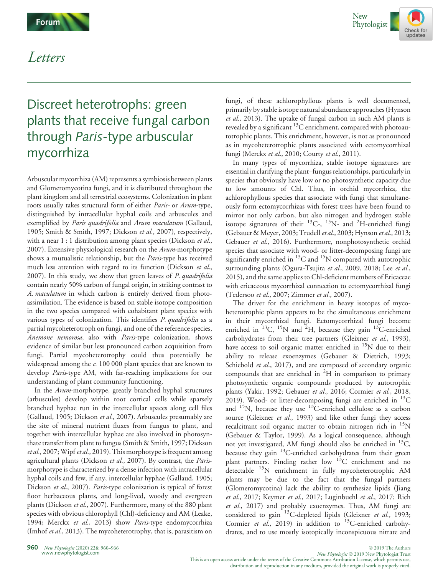

## Letters

# Discreet heterotrophs: green plants that receive fungal carbon through Paris-type arbuscular mycorrhiza

Arbuscular mycorrhiza (AM) represents a symbiosis between plants and Glomeromycotina fungi, and it is distributed throughout the plant kingdom and all terrestrial ecosystems. Colonization in plant roots usually takes structural form of either Paris- or Arum-type, distinguished by intracellular hyphal coils and arbuscules and exemplified by Paris quadrifolia and Arum maculatum (Gallaud, 1905; Smith & Smith, 1997; Dickson et al., 2007), respectively, with a near 1 : 1 distribution among plant species (Dickson et al., 2007). Extensive physiological research on the Arum-morphotype shows a mutualistic relationship, but the Paris-type has received much less attention with regard to its function (Dickson et al., 2007). In this study, we show that green leaves of P. quadrifolia contain nearly 50% carbon of fungal origin, in striking contrast to A. maculatum in which carbon is entirely derived from photoassimilation. The evidence is based on stable isotope composition in the two species compared with cohabitant plant species with various types of colonization. This identifies P. quadrifolia as a partial mycoheterotroph on fungi, and one of the reference species, Anemone nemorosa, also with Paris-type colonization, shows evidence of similar but less pronounced carbon acquisition from fungi. Partial mycoheterotrophy could thus potentially be widespread among the c. 100 000 plant species that are known to develop Paris-type AM, with far-reaching implications for our understanding of plant community functioning.

In the Arum-morphotype, greatly branched hyphal structures (arbuscules) develop within root cortical cells while sparsely branched hyphae run in the intercellular spaces along cell files (Gallaud, 1905; Dickson et al., 2007). Arbuscules presumably are the site of mineral nutrient fluxes from fungus to plant, and together with intercellular hyphae are also involved in photosynthate transfer from plant to fungus (Smith & Smith, 1997; Dickson *et al.*, 2007; Wipf *et al.*, 2019). This morphotype is frequent among agricultural plants (Dickson et al., 2007). By contrast, the Parismorphotype is characterized by a dense infection with intracellular hyphal coils and few, if any, intercellular hyphae (Gallaud, 1905; Dickson et al., 2007). Paris-type colonization is typical of forest floor herbaceous plants, and long-lived, woody and evergreen plants (Dickson et al., 2007). Furthermore, many of the 880 plant species with obvious chlorophyll (Chl)-deficiency and AM (Leake, 1994; Merckx et al., 2013) show Paris-type endomycorrhiza (Imhof et al., 2013). The mycoheterotrophy, that is, parasitism on

fungi, of these achlorophyllous plants is well documented, primarily by stable isotope natural abundance approaches (Hynson et al., 2013). The uptake of fungal carbon in such AM plants is revealed by a significant 13C enrichment, compared with photoautotrophic plants. This enrichment, however, is not as pronounced as in mycoheterotrophic plants associated with ectomycorrhizal fungi (Merckx et al., 2010; Courty et al., 2011).

In many types of mycorrhiza, stable isotope signatures are essential in clarifying the plant–fungus relationships, particularly in species that obviously have low or no photosynthetic capacity due to low amounts of Chl. Thus, in orchid mycorrhiza, the achlorophyllous species that associate with fungi that simultaneously form ectomycorrhizas with forest trees have been found to mirror not only carbon, but also nitrogen and hydrogen stable isotope signatures of their  $^{13}$ C-,  $^{15}$ N- and <sup>2</sup>H-enriched fungi (Gebauer & Meyer, 2003; Trudell et al., 2003; Hynson et al., 2013; Gebauer et al., 2016). Furthermore, nonphotosynthetic orchid species that associate with wood- or litter-decomposing fungi are significantly enriched in  ${}^{13}$ C and  ${}^{15}$ N compared with autotrophic surrounding plants (Ogura-Tsujita et al., 2009, 2018; Lee et al., 2015), and the same applies to Chl-deficient members of Ericaceae with ericaceous mycorrhizal connection to ectomycorrhizal fungi (Tedersoo et al., 2007; Zimmer et al., 2007).

The driver for the enrichment in heavy isotopes of mycoheterotrophic plants appears to be the simultaneous enrichment in their mycorrhizal fungi. Ectomycorrhizal fungi become enriched in  $^{13}$ C,  $^{15}$ N and  $^{2}$ H, because they gain  $^{13}$ C-enriched carbohydrates from their tree partners (Gleixner et al., 1993), have access to soil organic matter enriched in <sup>15</sup>N due to their ability to release exoenzymes (Gebauer & Dietrich, 1993; Schiebold et al., 2017), and are composed of secondary organic compounds that are enriched in  ${}^{2}H$  in comparison to primary photosynthetic organic compounds produced by autotrophic plants (Yakir, 1992; Gebauer et al., 2016; Cormier et al., 2018, 2019). Wood- or litter-decomposing fungi are enriched in  $^{13}$ C and  $15$ N, because they use  $13$ C-enriched cellulose as a carbon source (Gleixner et al., 1993) and like other fungi they access recalcitrant soil organic matter to obtain nitrogen rich in  $\mathrm{^{15}N}$ (Gebauer & Taylor, 1999). As a logical consequence, although not yet investigated, AM fungi should also be enriched in  $^{13}C$ , because they gain 13C-enriched carbohydrates from their green plant partners. Finding rather low <sup>13</sup>C enrichment and no detectable 15N enrichment in fully mycoheterotrophic AM plants may be due to the fact that the fungal partners (Glomeromycotina) lack the ability to synthesize lipids (Jiang et al., 2017; Keymer et al., 2017; Luginbuehl et al., 2017; Rich et al., 2017) and probably exoenzymes. Thus, AM fungi are considered to gain <sup>13</sup>C-depleted lipids (Gleixner et al., 1993; Cormier et al., 2019) in addition to <sup>13</sup>C-enriched carbohydrates, and to use mostly isotopically inconspicuous nitrate and

WWW.newphytologist.com<br>This is an open access article under the terms of the [Creative Commons Attribution](http://creativecommons.org/licenses/by/4.0/) License, which permits use,<br>This is an open access article under the terms of the Creative Commons Attribution Licen distribution and reproduction in any medium, provided the original work is properly cited.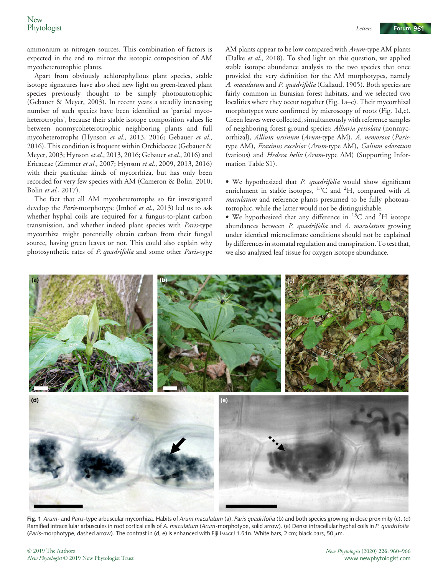ammonium as nitrogen sources. This combination of factors is expected in the end to mirror the isotopic composition of AM mycoheterotrophic plants.

Apart from obviously achlorophyllous plant species, stable isotope signatures have also shed new light on green-leaved plant species previously thought to be simply photoautotrophic (Gebauer & Meyer, 2003). In recent years a steadily increasing number of such species have been identified as 'partial mycoheterotrophs', because their stable isotope composition values lie between nonmycoheterotrophic neighboring plants and full mycoheterotrophs (Hynson et al., 2013, 2016; Gebauer et al., 2016). This condition is frequent within Orchidaceae (Gebauer & Meyer, 2003; Hynson et al., 2013, 2016; Gebauer et al., 2016) and Ericaceae (Zimmer et al., 2007; Hynson et al., 2009, 2013, 2016) with their particular kinds of mycorrhiza, but has only been recorded for very few species with AM (Cameron & Bolin, 2010; Bolin et al., 2017).

The fact that all AM mycoheterotrophs so far investigated develop the *Paris*-morphotype (Imhof et al., 2013) led us to ask whether hyphal coils are required for a fungus-to-plant carbon transmission, and whether indeed plant species with Paris-type mycorrhiza might potentially obtain carbon from their fungal source, having green leaves or not. This could also explain why photosynthetic rates of P. quadrifolia and some other Paris-type AM plants appear to be low compared with Arum-type AM plants (Dalke et al., 2018). To shed light on this question, we applied stable isotope abundance analysis to the two species that once provided the very definition for the AM morphotypes, namely A. maculatum and P. quadrifolia (Gallaud, 1905). Both species are fairly common in Eurasian forest habitats, and we selected two localities where they occur together (Fig. 1a–c). Their mycorrhizal morphotypes were confirmed by microscopy of roots (Fig. 1d,e). Green leaves were collected, simultaneously with reference samples of neighboring forest ground species: Alliaria petiolata (nonmycorrhizal), Allium ursinum (Arum-type AM), A. nemorosa (Paristype AM), Fraxinus excelsior (Arum-type AM), Galium odoratum (various) and Hedera helix (Arum-type AM) (Supporting Information Table S1).

• We hypothesized that P. quadrifolia would show significant enrichment in stable isotopes,  $^{13}$ C and <sup>2</sup>H, compared with A. maculatum and reference plants presumed to be fully photoautotrophic, while the latter would not be distinguishable.

• We hypothesized that any difference in  $^{13}$ C and <sup>2</sup>H isotope abundances between P. quadrifolia and A. maculatum growing under identical microclimate conditions should not be explained by differences in stomatal regulation and transpiration. To test that, we also analyzed leaf tissue for oxygen isotope abundance.



Fig. 1 Arum- and Paris-type arbuscular mycorrhiza. Habits of Arum maculatum (a), Paris quadrifolia (b) and both species growing in close proximity (c). (d) Ramified intracellular arbuscules in root cortical cells of A. maculatum (Arum-morphotype, solid arrow). (e) Dense intracellular hyphal coils in P. quadrifolia (Paris-morphotype, dashed arrow). The contrast in (d, e) is enhanced with Fiji IMAGEJ 1.51n. White bars, 2 cm; black bars, 50 µm.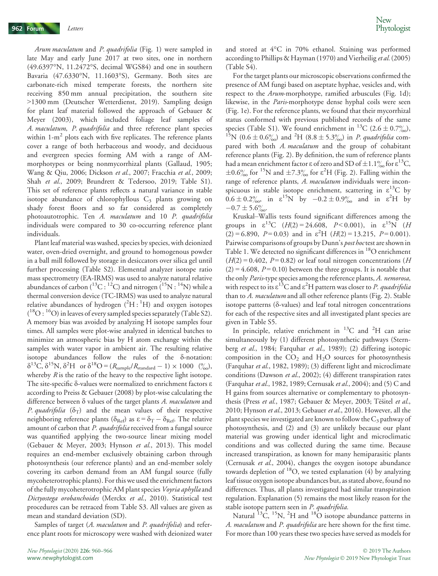Arum maculatum and P. quadrifolia (Fig. 1) were sampled in late May and early June 2017 at two sites, one in northern (49.6397°N, 11.2472°S, decimal WGS84) and one in southern Bavaria (47.6330°N, 11.1603°S), Germany. Both sites are carbonate-rich mixed temperate forests, the northern site receiving 850 mm annual precipitation, the southern site >1300 mm (Deutscher Wetterdienst, 2019). Sampling design for plant leaf material followed the approach of Gebauer & Meyer (2003), which included foliage leaf samples of A. maculatum, P. quadrifolia and three reference plant species within  $1-m^2$  plots each with five replicates. The reference plants cover a range of both herbaceous and woody, and deciduous and evergreen species forming AM with a range of AMmorphotypes or being nonmycorrhizal plants (Gallaud, 1905; Wang & Qiu, 2006; Dickson et al., 2007; Fracchia et al., 2009; Shah et al., 2009; Brundrett & Tedersoo, 2019; Table S1). This set of reference plants reflects a natural variance in stable isotope abundance of chlorophyllous  $C_3$  plants growing on shady forest floors and so far considered as completely photoautotrophic. Ten A. maculatum and 10 P. quadrifolia individuals were compared to 30 co-occurring reference plant individuals.

Plant leaf material was washed, species by species, with deionized water, oven-dried overnight, and ground to homogenous powder in a ball mill followed by storage in desiccators over silica gel until further processing (Table S2). Elemental analyzer isotope ratio mass spectrometry (EA-IRMS) was used to analyze natural relative abundances of carbon ( ${}^{13}C: {}^{12}C$ ) and nitrogen ( ${}^{15}N: {}^{14}N$ ) while a thermal conversion device (TC-IRMS) was used to analyze natural relative abundances of hydrogen  $(^{2}H~^{1}H)$  and oxygen isotopes  $(^{18}O: ^{16}O)$  in leaves of every sampled species separately (Table S2). A memory bias was avoided by analyzing H isotope samples four times. All samples were plot-wise analyzed in identical batches to minimize an atmospheric bias by H atom exchange within the samples with water vapor in ambient air. The resulting relative isotope abundances follow the rules of the  $\delta$ -notation:  $\delta^{13}$ C,  $\delta^{15}$ N,  $\delta^{2}$ H or  $\delta^{18}$ O = ( $R_{\text{sample}}/R_{\text{standard}}$  – 1) × 1000 (%), whereby  $R$  is the ratio of the heavy to the respective light isotope. The site-specific  $\delta$ -values were normalized to enrichment factors  $\varepsilon$ according to Preiss & Gebauer (2008) by plot-wise calculating the difference between  $\delta$  values of the target plants  $A$ . maculatum and P. quadrifolia  $(\delta_T)$  and the mean values of their respective neighboring reference plants ( $\delta_{\text{Ref}}$ ) as  $\varepsilon = \delta_T - \delta_{\text{Ref}}$ . The relative amount of carbon that P. quadrifolia received from a fungal source was quantified applying the two-source linear mixing model (Gebauer & Meyer, 2003; Hynson et al., 2013). This model requires an end-member exclusively obtaining carbon through photosynthesis (our reference plants) and an end-member solely covering its carbon demand from an AM fungal source (fully mycoheterotrophic plants). For this we used the enrichment factors of the fully mycoheterotrophic AM plant species Voyria aphylla and Dictyostega orobanchoides (Merckx et al., 2010). Statistical test procedures can be retraced from Table S3. All values are given as mean and standard deviation (SD).

Samples of target (A. maculatum and P. quadrifolia) and reference plant roots for microscopy were washed with deionized water and stored at 4°C in 70% ethanol. Staining was performed according to Phillips & Hayman (1970) and Vierheilig et al. (2005) (Table S4).

For the target plants our microscopic observations confirmed the presence of AM fungi based on aseptate hyphae, vesicles and, with respect to the Arum-morphotype, ramified arbuscules (Fig. 1d); likewise, in the *Paris*-morphotype dense hyphal coils were seen (Fig. 1e). For the reference plants, we found that their mycorrhizal status conformed with previous published records of the same species (Table S1). We found enrichment in <sup>13</sup>C (2.6 ± 0.7%), <sup>15</sup>N (0.6 ± 0.6<sup>o</sup><sub>%</sub>) and <sup>2</sup>H (8.8 ± 5.3<sup>o</sup><sub>%</sub>) in *P. quadrifolia* compared with both A. maculatum and the group of cohabitant reference plants (Fig. 2). By definition, the sum of reference plants had a mean enrichment factor  $\varepsilon$  of zero and SD of  $\pm 1.1\%$  for  $\varepsilon^{13}$ C,  $\pm 0.6\%$  for <sup>15</sup>N and  $\pm 7.3\%$  for  $\varepsilon^2$ H (Fig. 2). Falling within the range of reference plants, A. maculatum individuals were inconspicuous in stable isotope enrichment, scattering in  $\varepsilon^{13}C$  by  $0.6 \pm 0.2\%$ , in  $\varepsilon^{15}N$  by  $-0.2 \pm 0.9\%$  and in  $\varepsilon^{2}H$  by  $-0.7 \pm 5.6\%$ .

Kruskal–Wallis tests found significant differences among the groups in  $\varepsilon^{13}C$  ( $H(2) = 24.608$ ,  $P < 0.001$ ), in  $\varepsilon^{15}N$  ( $H$  $(2) = 6.890$ ,  $P = 0.03$ ) and in  $\varepsilon^2$ H ( $H(2) = 13.215$ ,  $P = 0.001$ ). Pairwise comparisons of groups by Dunn's post hoctest are shown in Table 1. We detected no significant differences in <sup>18</sup>O enrichment  $(H(2) = 0.402, P = 0.82)$  or leaf total nitrogen concentrations (*H*  $(2) = 4.608$ ,  $P = 0.10$ ) between the three groups. It is notable that the only *Paris*-type species among the reference plants, A. nemorosa, with respect to its  $\varepsilon^{13}$ C and  $\varepsilon^2$ H pattern was closer to *P. quadrifolia* than to A. maculatum and all other reference plants (Fig. 2). Stable isotope patterns  $(\delta$ -values) and leaf total nitrogen concentrations for each of the respective sites and all investigated plant species are given in Table S5.

In principle, relative enrichment in  $^{13}$ C and  $^{2}$ H can arise simultaneously by (1) different photosynthetic pathways (Sternberg et al., 1984; Farquhar et al., 1989); (2) differing isotopic composition in the  $CO<sub>2</sub>$  and  $H<sub>2</sub>O$  sources for photosynthesis (Farquhar et al., 1982, 1989); (3) different light and microclimate conditions (Dawson et al., 2002); (4) different transpiration rates (Farquhar et al., 1982, 1989; Cernusak et al., 2004); and (5) C and H gains from sources alternative or complementary to photosynthesis (Press et al., 1987; Gebauer & Meyer, 2003; Tesitel et al., 2010; Hynson et al., 2013; Gebauer et al., 2016). However, all the plant species we investigated are known to follow the  $C_3$  pathway of photosynthesis, and (2) and (3) are unlikely because our plant material was growing under identical light and microclimatic conditions and was collected during the same time. Because increased transpiration, as known for many hemiparasitic plants (Cernusak et al., 2004), changes the oxygen isotope abundance towards depletion of  $^{18}O$ , we tested explanation (4) by analyzing leaf tissue oxygen isotope abundances but, as stated above, found no differences. Thus, all plants investigated had similar transpiration regulation. Explanation (5) remains the most likely reason for the stable isotope pattern seen in *P. quadrifolia*.

Natural  ${}^{13}$ C,  ${}^{15}$ N,  ${}^{2}$ H and  ${}^{18}$ O isotope abundance patterns in A. maculatum and P. quadrifolia are here shown for the first time. For more than 100 years these two species have served as models for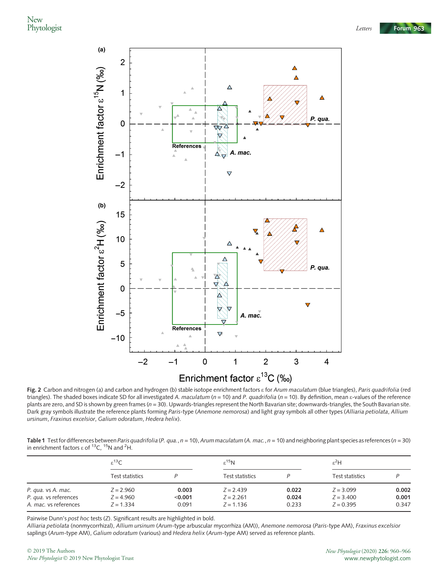

Fig. 2 Carbon and nitrogen (a) and carbon and hydrogen (b) stable isotope enrichment factors  $\varepsilon$  for Arum maculatum (blue triangles), Paris quadrifolia (red triangles). The shaded boxes indicate SD for all investigated A. maculatum ( $n = 10$ ) and P. quadrifolia ( $n = 10$ ). By definition, mean  $\epsilon$ -values of the reference plants are zero, and SD is shown by green frames ( $n = 30$ ). Upwards-triangles represent the North Bavarian site; downwards-triangles, the South Bavarian site. Dark gray symbols illustrate the reference plants forming Paris-type (Anemone nemorosa) and light gray symbols all other types (Alliaria petiolata, Allium ursinum, Fraxinus excelsior, Galium odoratum, Hedera helix).

Table 1 Test for differences between Paris quadrifolia (P. qua.,  $n = 10$ ), Arum maculatum (A. mac.,  $n = 10$ ) and neighboring plant species as references ( $n = 30$ ) in enrichment factors  $\varepsilon$  of  $^{13}$ C,  $^{15}$ N and  $^{2}$ H.

|                       | $\varepsilon^{13}$ C |         | $\varepsilon^{15}N$ |       | ε <sup>2</sup> Η |       |
|-----------------------|----------------------|---------|---------------------|-------|------------------|-------|
|                       | Test statistics      |         | Test statistics     |       | Test statistics  |       |
| P. qua. vs A. mac.    | $Z = 2.960$          | 0.003   | $Z = 2.439$         | 0.022 | $Z = 3.099$      | 0.002 |
| P. qua. vs references | $Z = 4.960$          | < 0.001 | $Z = 2.261$         | 0.024 | $Z = 3.400$      | 0.001 |
| A. mac. vs references | $Z = 1.334$          | 0.091   | $Z = 1.136$         | 0.233 | $Z = 0.395$      | 0.347 |

Pairwise Dunn's post hoc tests (Z). Significant results are highlighted in bold.

Alliaria petiolata (nonmycorrhizal), Allium ursinum (Arum-type arbuscular mycorrhiza (AM)), Anemone nemorosa (Paris-type AM), Fraxinus excelsior saplings (Arum-type AM), Galium odoratum (various) and Hedera helix (Arum-type AM) served as reference plants.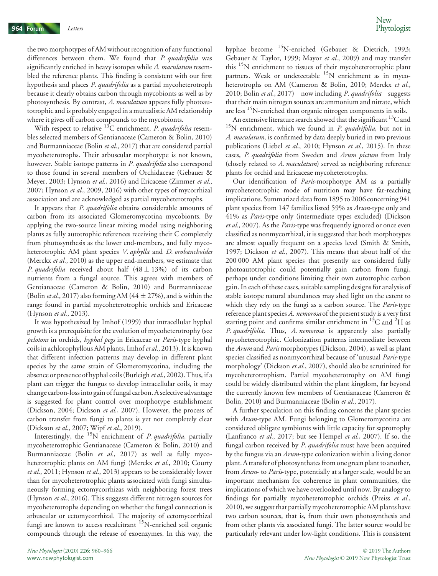the two morphotypes of AM without recognition of any functional differences between them. We found that P. quadrifolia was significantly enriched in heavy isotopes while A. maculatum resembled the reference plants. This finding is consistent with our first hypothesis and places P. quadrifolia as a partial mycoheterotroph because it clearly obtains carbon through mycobionts as well as by photosynthesis. By contrast, A. maculatum appears fully photoautotrophic and is probably engaged in a mutualistic AM relationship where it gives off carbon compounds to the mycobionts.

With respect to relative  $^{13}$ C enrichment, *P. quadrifolia* resembles selected members of Gentianaceae (Cameron & Bolin, 2010) and Burmanniaceae (Bolin et al., 2017) that are considered partial mycoheterotrophs. Their arbuscular morphotype is not known, however. Stable isotope patterns in *P. quadrifolia* also correspond to those found in several members of Orchidaceae (Gebauer & Meyer, 2003; Hynson et al., 2016) and Ericaceae (Zimmer et al., 2007; Hynson et al., 2009, 2016) with other types of mycorrhizal association and are acknowledged as partial mycoheterotrophs.

It appears that P. quadrifolia obtains considerable amounts of carbon from its associated Glomeromycotina mycobionts. By applying the two-source linear mixing model using neighboring plants as fully autotrophic references receiving their C completely from photosynthesis as the lower end-members, and fully mycoheterotrophic AM plant species V. aphylla and D. orobanchoides (Merckx *et al.*, 2010) as the upper end-members, we estimate that P. quadrifolia received about half  $(48 \pm 13\%)$  of its carbon nutrients from a fungal source. This agrees with members of Gentianaceae (Cameron & Bolin, 2010) and Burmanniaceae (Bolin *et al.*, 2017) also forming AM (44  $\pm$  27%), and is within the range found in partial mycoheterotrophic orchids and Ericaceae (Hynson et al., 2013).

It was hypothesized by Imhof (1999) that intracellular hyphal growth is a prerequisite for the evolution of mycoheterotrophy (see pelotons in orchids, hyphal pegs in Ericaceae or Paris-type hyphal coils in achlorophyllous AM plants, Imhof et al., 2013). It is known that different infection patterns may develop in different plant species by the same strain of Glomeromycotina, including the absence or presence of hyphal coils (Burleigh et al., 2002). Thus, if a plant can trigger the fungus to develop intracellular coils, it may change carbon-loss into gain of fungal carbon. A selective advantage is suggested for plant control over morphotype establishment (Dickson, 2004; Dickson et al., 2007). However, the process of carbon transfer from fungi to plants is yet not completely clear (Dickson et al., 2007; Wipf et al., 2019).

Interestingly, the  $^{15}N$  enrichment of *P. quadrifolia*, partially mycoheterotrophic Gentianaceae (Cameron & Bolin, 2010) and Burmanniaceae (Bolin et al., 2017) as well as fully mycoheterotrophic plants on AM fungi (Merckx et al., 2010; Courty et al., 2011; Hynson et al., 2013) appears to be considerably lower than for mycoheterotrophic plants associated with fungi simultaneously forming ectomycorrhizas with neighboring forest trees (Hynson et al., 2016). This suggests different nitrogen sources for mycoheterotrophs depending on whether the fungal connection is arbuscular or ectomycorrhizal. The majority of ectomycorrhizal fungi are known to access recalcitrant  $\mathrm{^{15}N}$ -enriched soil organic compounds through the release of exoenzymes. In this way, the

hyphae become 15N-enriched (Gebauer & Dietrich, 1993; Gebauer & Taylor, 1999; Mayor et al., 2009) and may transfer this <sup>15</sup>N enrichment to tissues of their mycoheterotrophic plant partners. Weak or undetectable <sup>15</sup>N enrichment as in mycoheterotrophs on AM (Cameron & Bolin, 2010; Merckx et al., 2010; Bolin et al., 2017) – now including P. quadrifolia – suggests that their main nitrogen sources are ammonium and nitrate, which are less <sup>15</sup>N-enriched than organic nitrogen components in soils.

An extensive literature search showed that the significant  ${}^{13}$ C and  $15N$  enrichment, which we found in *P. quadrifolia*, but not in A. maculatum, is confirmed by data deeply buried in two previous publications (Liebel et al., 2010; Hynson et al., 2015). In these cases, P. quadrifolia from Sweden and Arum pictum from Italy (closely related to A. maculatum) served as neighboring reference plants for orchid and Ericaceae mycoheterotrophs.

Our identification of Paris-morphotype AM as a partially mycoheterotrophic mode of nutrition may have far-reaching implications. Summarized data from 1895 to 2006 concerning 941 plant species from 147 families listed 59% as Arum-type only and 41% as Paris-type only (intermediate types excluded) (Dickson et al., 2007). As the Paris-type was frequently ignored or once even classified as nonmycorrhizal, it is suggested that both morphotypes are almost equally frequent on a species level (Smith & Smith, 1997; Dickson et al., 2007). This means that about half of the 200 000 AM plant species that presently are considered fully photoautotrophic could potentially gain carbon from fungi, perhaps under conditions limiting their own autotrophic carbon gain. In each of these cases, suitable sampling designs for analysis of stable isotope natural abundances may shed light on the extent to which they rely on the fungi as a carbon source. The *Paris*-type reference plant species A. nemorosa of the present study is a very first starting point and confirms similar enrichment in  $^{13}$ C and  $^{2}$ H as P. quadrifolia. Thus, A. nemorosa is apparently also partially mycoheterotrophic. Colonization patterns intermediate between the Arum and Paris morphotypes (Dickson, 2004), as well as plant species classified as nonmycorrhizal because of 'unusual Paris-type morphology' (Dickson *et al.*, 2007), should also be scrutinized for mycoheterotrophism. Partial mycoheterotrophy on AM fungi could be widely distributed within the plant kingdom, far beyond the currently known few members of Gentianaceae (Cameron & Bolin, 2010) and Burmanniaceae (Bolin et al., 2017).

A further speculation on this finding concerns the plant species with Arum-type AM. Fungi belonging to Glomeromycotina are considered obligate symbionts with little capacity for saprotrophy (Lanfranco et al., 2017; but see Hempel et al., 2007). If so, the fungal carbon received by P. quadrifolia must have been acquired by the fungus via an Arum-type colonization within a living donor plant. A transfer of photosynthates from one green plant to another, from Arum- to Paris-type, potentially at a larger scale, would be an important mechanism for coherence in plant communities, the implications of which we have overlooked until now. By analogy to findings for partially mycoheterotrophic orchids (Preiss et al., 2010), we suggest that partially mycoheterotrophic AM plants have two carbon sources, that is, from their own photosynthesis and from other plants via associated fungi. The latter source would be particularly relevant under low-light conditions. This is consistent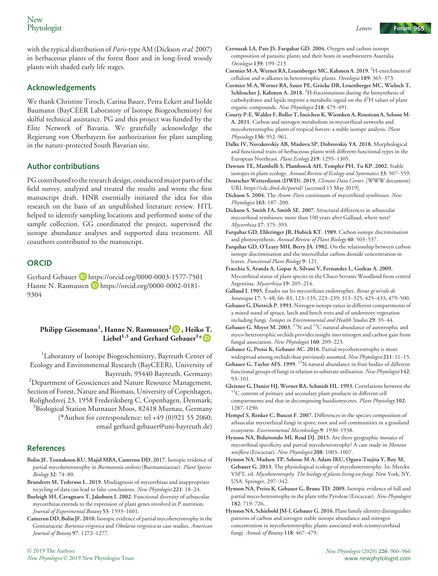with the typical distribution of *Paris*-type AM (Dickson *et al.* 2007) in herbaceous plants of the forest floor and in long-lived woody plants with shaded early life stages.

#### Acknowledgements

We thank Christine Tiroch, Carina Bauer, Petra Eckert and Isolde Baumann (BayCEER Laboratory of Isotope Biogeochemisty) for skilful technical assistance. PG and this project was funded by the Elite Network of Bavaria. We gratefully acknowledge the Regierung von Oberbayern for authorization for plant sampling in the nature-protected South Bavarian site.

#### Author contributions

PG contributed to the research design, conducted major parts of the field survey, analyzed and treated the results and wrote the first manuscript draft. HNR essentially initiated the idea for this research on the basis of an unpublished literature review. HTL helped to identify sampling locations and performed some of the sample collection. GG coordinated the project, supervised the isotope abundance analyses and supported data treatment. All coauthors contributed to the manuscript.

#### **ORCID**

Gerhard Gebauer D https://orcid.org/0000-0003-1577-7501 Hanne N. Rasmussen D https://orcid.org/0000-0002-0181-9304

### Philipp Giesemann<sup>1</sup>, Hanne N. Rasmussen<sup>2</sup> D , Heiko T.  $\mathrm{Liebel}^{1,3}$  and [Ge](https://orcid.org/0000-0002-0181-9304)rhard Gebauer $^{1\,*}$  $^{1\,*}$  $^{1\,*}$

<sup>1</sup>Laboratory of Isotope Biogeochemistry, Bayreuth Center of Ecology and Environmental Research (BayCEER), University of Bayreuth, 95440 Bayreuth, Germany; <sup>2</sup> Department of Geosciences and Nature Resource Management, Section of Forest, Nature and Biomass, University of Copenhagen, Rolighedsvej 23, 1958 Frederiksberg C, Copenhagen, Denmark; 3 Biological Station Murnauer Moos, 82418 Murnau, Germany (\*Author for correspondence: tel +49 (0)921 55 2060; email gerhard.gebauer@uni-bayreuth.de)

#### References

- Bolin JF, Tennakoon KU, Majid MBA, Cameron DD. 2017. Isotopic evidence of partial mycoheterotrophy in Burmannia coelestis (Burmanniaceae). Plant Species Biology 32: 74–80.
- Brundrett M, Tedersoo L. 2019. Misdiagnosis of mycorrhizas and inappropriate recycling of data can lead to false conclusions. New Phytologist 221: 18–24.
- Burleigh SH, Cavagnaro T, Jakobsen I. 2002. Functional diversity of arbuscular mycorrhizas extends to the expression of plant genes involved in P nutrition. Journal of Experimental Botany 53: 1593–1601.
- Cameron DD, Bolin JF. 2010.Isotopic evidence of partial mycoheterotrophy in the Gentianaceae Bartonia virginica and Obolaria virginica as case studies. American Journal of Botany 97: 1272–1277.
- Cernusak LA, Pate JS, Farquhar GD. 2004. Oxygen and carbon isotope composition of parasitic plants and their hosts in southwestern Australia. Oecologia 139: 199–213.
- Cormier M-A, Werner RA, Leuenberger MC, Kahmen A. 2019.<sup>2</sup>H-enrichment of cellulose and n-alkanes in heterotrophic plants. Oecologia 189: 365–373.
- Cormier M-A, Werner RA, Sauer PE, Gröcke DR, Leuenberger MC, Wieloch T, Schleucher J, Kahmen A. 2018. <sup>2</sup>H-fractionations during the biosynthesis of carbohydrates and lipids imprint a metabolic signal on the  $\delta^2 H$  values of plant organic compounds. New Phytologist 218: 479–491.
- Courty P-E, Walder F, Boller T, Ineichen K, Wiemken A, Rousteau A, Selosse M-A. 2011. Carbon and nitrogen metabolism in mycorrhizal networks and mycoheterotrophic plants of tropical forests: a stable isotope analysis. Plant Physiology 156: 952–961.
- Dalke IV, Novakovskiy AB, Maslova SP, Dubrovskiy YA. 2018. Morphological and functional traits of herbaceous plants with different functional types in the European Northeast. Plant Ecology 219: 1295–1305.

Dawson TE, Mambelli S, Plamboeck AH, Templer PH, Tu KP. 2002. Stable

- isotopes in plant ecology. Annual Review of Ecology and Systematics 33: 507-559. Deutscher Wetterdienst (DWD). 2019. Climate Data Center. [WWW document] URL<https://cdc.dwd.de/portal/> [accessed 15 May 2019].
- Dickson S. 2004. The Arum–Paris continuum of mycorrhizal symbioses. New Phytologist 163: 187–200.
- Dickson S, Smith FA, Smith SE. 2007. Structural differences in arbuscular mycorrhizal symbioses: more than 100 years after Gallaud, where next? Mycorrhiza 17: 375–393.
- Farquhar GD, Ehleringer JR, Hubick KT. 1989. Carbon isotope discrimination and photosynthesis. Annual Review of Plant Biology 40: 503-537.
- Farquhar GD, O'Leary MH, Berry JA. 1982. On the relationship between carbon isotope discrimination and the intercellular carbon dioxide concentration in leaves. Functional Plant Biology 9: 121.
- Fracchia S, Aranda A, Gopar A, Silvani V, Fernandez L, Godeas A. 2009. Mycorrhizal status of plant species in the Chaco Serrano Woodland from central Argentina. Mycorrhiza 19: 205–214.
- Gallaud I. 1905. Études sur les mycorrhizes endotrophes. Revue générale de botanique 17: 5–48; 66–83, 123–135; 223–239; 313–325; 425–433; 479–500.
- Gebauer G, Dietrich P. 1993. Nitrogen isotope ratios in different compartments of a mixed stand of spruce, larch and beech trees and of understory vegetation including fungi. Isotopes in Environmental and Health Studies 29: 35–44.
- Gebauer G, Meyer M. 2003. <sup>15</sup>N and <sup>13</sup>C natural abundance of autotrophic and myco-heterotrophic orchids provides insight into nitrogen and carbon gain from fungal association. New Phytologist 160: 209-223.
- Gebauer G, Preiss K, Gebauer AC. 2016. Partial mycoheterotrophy is more widespread among orchids than previously assumed. New Phytologist 211: 11-15.
- Gebauer G, Taylor AFS. 1999.  $15N$  natural abundance in fruit bodies of different functional groups of fungi in relation to substrate utilisation. New Phytologist 142: 93–101.
- Gleixner G, Danier HJ, Werner RA, Schmidt HL. 1993. Correlations between the 13C content of primary and secondary plant products in different cell compartments and that in decomposing basidiomycetes. Plant Physiology 102: 1287–1290.
- Hempel S, Renker C, Buscot F. 2007. Differences in the species composition of arbuscular mycorrhizal fungi in spore, root and soil communities in a grassland ecosystem. Environmental Microbiology 9: 1930–1938.
- Hynson NA, Bidartondo MI, Read DJ. 2015. Are there geographic mosaics of mycorrhizal specificity and partial mycoheterotrophy? A case study in Moneses uniflora (Ericaceae). New Phytologist 208: 1003–1007.
- Hynson NA, Madsen TP, Selosse M-A, Adam IKU, Ogura-Tsujita Y, Roy M, Gebauer G. 2013. The physiological ecology of mycoheterotrophy. In: Merckx VSFT, ed. Mycoheterotrophy. The biology of plants living on fungi. New York, NY, USA: Springer, 297–342.
- Hynson NA, Preiss K, Gebauer G, Bruns TD. 2009. Isotopic evidence of full and partial myco-heterotrophy in the plant tribe Pyroleae (Ericaceae). New Phytologist 182: 719–726.
- Hynson NA, Schiebold JM-I, Gebauer G. 2016. Plant family identity distinguishes patterns of carbon and nitrogen stable isotope abundance and nitrogen concentration in mycoheterotrophic plants associated with ectomycorrhizal fungi. Annals of Botany 118: 467-479.